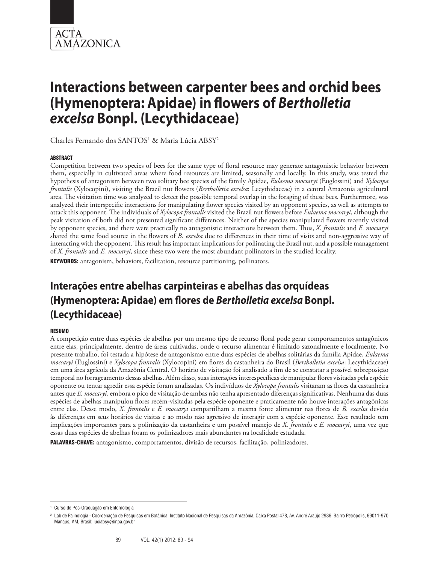

Charles Fernando dos SANTOS<sup>1</sup> & Maria Lúcia ABSY<sup>2</sup>

#### ABSTRACT

Competition between two species of bees for the same type of floral resource may generate antagonistic behavior between them, especially in cultivated areas where food resources are limited, seasonally and locally. In this study, was tested the hypothesis of antagonism between two solitary bee species of the family Apidae, *Eulaema mocsaryi* (Euglossini) and *Xylocopa frontalis* (Xylocopini), visiting the Brazil nut flowers (*Bertholletia excelsa*: Lecythidaceae) in a central Amazonia agricultural area. The visitation time was analyzed to detect the possible temporal overlap in the foraging of these bees. Furthermore, was analyzed their interspecific interactions for manipulating flower species visited by an opponent species, as well as attempts to attack this opponent. The individuals of *Xylocopa frontalis* visited the Brazil nut flowers before *Eulaema mocsaryi*, although the peak visitation of both did not presented significant differences. Neither of the species manipulated flowers recently visited by opponent species, and there were practically no antagonistic interactions between them. Thus, *X. frontalis* and *E. mocsaryi* shared the same food source in the flowers of *B. excelsa* due to differences in their time of visits and non-aggressive way of interacting with the opponent. This result has important implications for pollinating the Brazil nut, and a possible management of *X. frontalis* and *E. mocsaryi*, since these two were the most abundant pollinators in the studied locality.

KEYWORDS: antagonism, behaviors, facilitation, resource partitioning, pollinators.

# **Interações entre abelhas carpinteiras e abelhas das orquídeas (Hymenoptera: Apidae) em flores de** *Bertholletia excelsa* **Bonpl. (Lecythidaceae)**

#### RESUMO

A competição entre duas espécies de abelhas por um mesmo tipo de recurso floral pode gerar comportamentos antagônicos entre elas, principalmente, dentro de áreas cultivadas, onde o recurso alimentar é limitado sazonalmente e localmente. No presente trabalho, foi testada a hipótese de antagonismo entre duas espécies de abelhas solitárias da família Apidae, *Eulaema mocsaryi* (Euglossini) e *Xylocopa frontalis* (Xylocopini) em flores da castanheira do Brasil (*Bertholletia excelsa*: Lecythidaceae) em uma área agrícola da Amazônia Central. O horário de visitação foi analisado a fim de se constatar a possível sobreposição temporal no forrageamento dessas abelhas. Além disso, suas interações interespecíficas de manipular flores visitadas pela espécie oponente ou tentar agredir essa espécie foram analisadas. Os indivíduos de *Xylocopa frontalis* visitaram as flores da castanheira antes que *E. mocsaryi*, embora o pico de visitação de ambas não tenha apresentado diferenças significativas. Nenhuma das duas espécies de abelhas manipulou flores recém-visitadas pela espécie oponente e praticamente não houve interações antagônicas entre elas. Desse modo, *X. frontalis* e *E. mocsaryi* compartilham a mesma fonte alimentar nas flores de *B. excelsa* devido às diferenças em seus horários de visitas e ao modo não agressivo de interagir com a espécie oponente. Esse resultado tem implicações importantes para a polinização da castanheira e um possível manejo de *X. frontalis* e *E. mocsaryi*, uma vez que essas duas espécies de abelhas foram os polinizadores mais abundantes na localidade estudada.

PALAVRAS-CHAVE: antagonismo, comportamentos, divisão de recursos, facilitação, polinizadores.

<sup>1</sup> Curso de Pós-Graduação em Entomologia

<sup>&</sup>lt;sup>2</sup> Lab de Palinologia - Coordenação de Pesquisas em Botânica, Instituto Nacional de Pesquisas da Amazônia, Caixa Postal 478, Av. André Araújo 2936, Bairro Petrópolis, 69011-970 Manaus, AM, Brasil; luciabsy@inpa.gov.br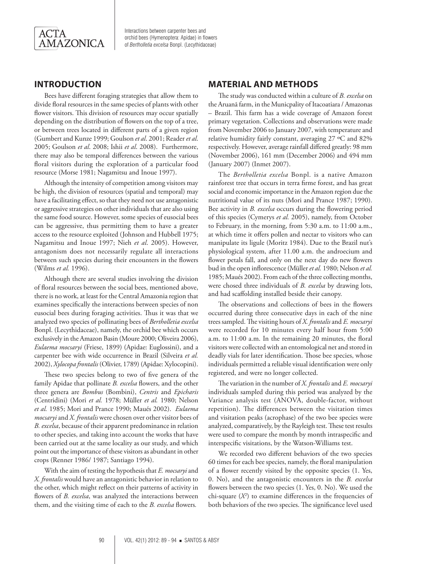

## **INTRODUCTION**

Bees have different foraging strategies that allow them to divide floral resources in the same species of plants with other flower visitors. This division of resources may occur spatially depending on the distribution of flowers on the top of a tree, or between trees located in different parts of a given region (Gumbert and Kunze 1999; Goulson *et al*. 2001; Reader *et al*. 2005; Goulson *et al*. 2008; Ishii *et al*. 2008). Furthermore, there may also be temporal differences between the various floral visitors during the exploration of a particular food resource (Morse 1981; Nagamitsu and Inoue 1997).

Although the intensity of competition among visitors may be high, the division of resources (spatial and temporal) may have a facilitating effect, so that they need not use antagonistic or aggressive strategies on other individuals that are also using the same food source. However, some species of eusocial bees can be aggressive, thus permitting them to have a greater access to the resource exploited (Johnson and Hubbell 1975; Nagamitsu and Inoue 1997; Nieh *et al*. 2005). However, antagonism does not necessarily regulate all interactions between such species during their encounters in the flowers (Wilms *et al.* 1996).

Although there are several studies involving the division of floral resources between the social bees, mentioned above, there is no work, at least for the Central Amazonia region that examines specifically the interactions between species of non eusocial bees during foraging activities. Thus it was that we analyzed two species of pollinating bees of *Bertholletia excelsa* Bonpl. (Lecythidaceae), namely, the orchid bee which occurs exclusively in the Amazon Basin (Moure 2000; Oliveira 2006), *Eulaema mocsaryi* (Friese, 1899) (Apidae: Euglossini), and a carpenter bee with wide occurrence in Brazil (Silveira *et al.* 2002), *Xylocopa frontalis* (Olivier, 1789) (Apidae: Xylocopini).

These two species belong to two of five genera of the family Apidae that pollinate *B. excelsa* flowers, and the other three genera are *Bombus* (Bombini), *Centris* and *Epicharis* (Centridini) (Mori *et al.* 1978; Müller *et al.* 1980; Nelson *et al.* 1985; Mori and Prance 1990; Maués 2002). *Eulaema mocsaryi* and *X. frontalis* were chosen over other visitor bees of *B. excelsa*, because of their apparent predominance in relation to other species, and taking into account the works that have been carried out at the same locality as our study, and which point out the importance of these visitors as abundant in other crops (Renner 1986/ 1987; Santiago 1994).

With the aim of testing the hypothesis that *E. mocsaryi* and *X. frontalis* would have an antagonistic behavior in relation to the other, which might reflect on their patterns of activity in flowers of *B. excelsa*, was analyzed the interactions between them, and the visiting time of each to the *B. excelsa* flowers*.*

### **MATERIAL AND METHODS**

The study was conducted within a culture of *B. excelsa* on the Aruanã farm, in the Municpality of Itacoatiara / Amazonas – Brazil. This farm has a wide coverage of Amazon forest primary vegetation. Collections and observations were made from November 2006 to January 2007, with temperature and relative humidity fairly constant, averaging 27 ºC and 82% respectively. However, average rainfall differed greatly: 98 mm (November 2006), 161 mm (December 2006) and 494 mm (January 2007) (Inmet 2007).

The *Bertholletia excelsa* Bonpl. is a native Amazon rainforest tree that occurs in terra firme forest, and has great social and economic importance in the Amazon region due the nutritional value of its nuts (Mori and Prance 1987; 1990). Bee activity in *B. excelsa* occurs during the flowering period of this species (Cymerys *et al.* 2005), namely, from October to February, in the morning, from 5:30 a.m. to 11:00 a.m., at which time it offers pollen and nectar to visitors who can manipulate its ligule (Moritz 1984). Due to the Brazil nut's physiological system, after 11.00 a.m. the androecium and flower petals fall, and only on the next day do new flowers bud in the open inflorescence (Müller *et al.* 1980; Nelson *et al.* 1985; Maués 2002). From each of the three collecting months, were chosed three individuals of *B. excelsa* by drawing lots, and had scaffolding installed beside their canopy.

The observations and collections of bees in the flowers occurred during three consecutive days in each of the nine trees sampled. The visiting hours of *X. frontalis* and *E. mocsaryi*  were recorded for 10 minutes every half hour from 5:00 a.m. to 11:00 a.m. In the remaining 20 minutes, the floral visitors were collected with an entomological net and stored in deadly vials for later identification. Those bee species, whose individuals permitted a reliable visual identification were only registered, and were no longer collected.

The variation in the number of *X. frontalis* and *E. mocsaryi* individuals sampled during this period was analyzed by the Variance analysis test (ANOVA, double-factor, without repetition). The differences between the visitation times and visitation peaks (acrophase) of the two bee species were analyzed, comparatively, by the Rayleigh test. These test results were used to compare the month by month intraspecific and interspecific visitations, by the Watson-Williams test.

We recorded two different behaviors of the two species 60 times for each bee species, namely, the floral manipulation of a flower recently visited by the opposite species (1. Yes, 0. No), and the antagonistic encounters in the *B. excelsa*  flowers between the two species (1. Yes, 0. No). We used the chi-square (*X2* ) to examine differences in the frequencies of both behaviors of the two species. The significance level used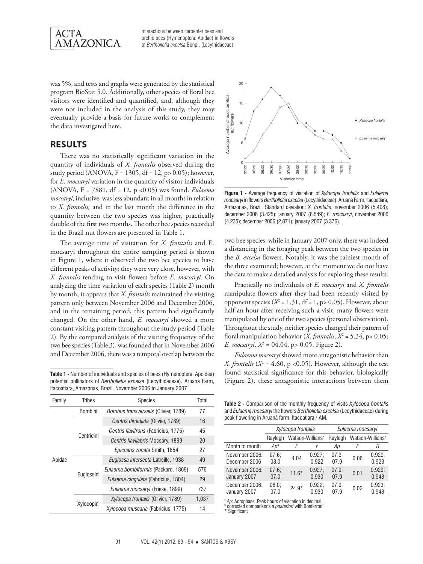

was 5%, and tests and graphs were generated by the statistical program BioStat 5.0. Additionally, other species of floral bee visitors were identified and quantified, and, although they were not included in the analysis of this study, they may eventually provide a basis for future works to complement the data investigated here.

# **RESULTS**

There was no statistically significant variation in the quantity of individuals of *X. frontalis* observed during the study period (ANOVA,  $F = 1305$ ,  $df = 12$ ,  $p > 0.05$ ); however, for *E. mocsaryi* variation in the quantity of visitor individuals (ANOVA, F = 7881, df = 12, p <0.05) was found. *Eulaema mocsaryi,* inclusive, was less abundant in all months in relation to *X. frontalis,* and in the last month the difference in the quantity between the two species was higher, practically double of the first two months. The other bee species recorded in the Brazil nut flowers are presented in Table 1.

The average time of visitation for *X. frontalis* and E. mocsaryi throughout the entire sampling period is shown in Figure 1, where it observed the two bee species to have different peaks of activity; they were very close, however, with *X. frontalis* tending to visit flowers before *E. mocsaryi.* On analyzing the time variation of each species (Table 2) month by month, it appears that *X. frontalis* maintained the visiting pattern only between November 2006 and December 2006, and in the remaining period, this pattern had significantly changed. On the other hand, *E. mocsaryi* showed a more constant visiting pattern throughout the study period (Table 2). By the compared analysis of the visiting frequency of the two bee species (Table 3), was founded that in November 2006 and December 2006, there was a temporal overlap between the

**Table 1 -** Number of individuals and species of bees (Hymenoptera: Apoidea) potential pollinators of *Bertholletia excelsa* (Lecythidaceae). Aruanã Farm, Itacoatiara, Amazonas, Brazil. November 2006 to January 2007

| Family | <b>Tribes</b>  | <b>Species</b>                       | Total |
|--------|----------------|--------------------------------------|-------|
| Apidae | <b>Bombini</b> | Bombus transversalis (Olivier, 1789) | 77    |
|        | Centridini     | Centris dimidiata (Olivier, 1789)    | 16    |
|        |                | Centris flavifrons (Fabricius, 1775) | 45    |
|        |                | Centris flavilabris Mocsáry, 1899    | 20    |
|        |                | Epicharis zonata Smith, 1854         | 27    |
|        | Euglossini     | Euglossa intersecta Latreille, 1938  | 49    |
|        |                | Eulaema bombiformis (Packard, 1869)  | 576   |
|        |                | Eulaema cingulata (Fabricius, 1804)  | 29    |
|        |                | Eulaema mocsaryi (Friese, 1899)      | 737   |
|        | Xvlocopini     | Xylocopa frontalis (Olivier, 1789)   | 1,037 |
|        |                | Xylocopa muscaria (Fabricius, 1775)  | 14    |



**Figure 1 -** Average frequency of visitation of *Xylocopa frontalis* and *Eulaema mocsaryi* in flowers *Bertholletia excelsa* (Lecythidaceae). Aruanã Farm, Itacoatiara, Amazonas, Brazil. Standard deviation: *X. frontalis*, november 2006 (5.408); december 2006 (3.425); january 2007 (8.549); *E. mocsaryi*, november 2006 (4.235); december 2006 (2.871); january 2007 (3.376).

two bee species, while in January 2007 only, there was indeed a distancing in the foraging peak between the two species in the *B. excelsa* flowers. Notably, it was the rainiest month of the three examined; however, at the moment we do not have the data to make a detailed analysis for exploring these results.

Practically no individuals of *E. mocsaryi* and *X. frontalis* manipulate flowers after they had been recently visited by opponent species ( $X^2 = 1.31$ , df = 1, p > 0.05). However, about half an hour after receiving such a visit, many flowers were manipulated by one of the two species (personal observation). Throughout the study, neither species changed their pattern of floral manipulation behavior (*X. frontalis*,  $X^2 = 5.34$ , p> 0.05; *E. mocsaryi*, *X*<sup>2</sup> = 04.04, p> 0.05, Figure 2).

*Eulaema mocsaryi* showed more antagonistic behavior than *X. frontalis* ( $X^2 = 4.60$ , p <0.05). However, although the test found statistical significance for this behavior, biologically (Figure 2), these antagonistic interactions between them

| <b>Table 2 -</b> Comparison of the monthly frequency of visits <i>Xylocopa frontalis</i> |
|------------------------------------------------------------------------------------------|
| and Eulaema mocsaryi the flowers Bertholletia excelsa (Lecythidaceae) during             |
| peak flowering in Aruanã farm. Itacoatiara / AM.                                         |

|                                 | Xylocopa frontalis |         |                              | Eulaema mocsaryi |      |                              |
|---------------------------------|--------------------|---------|------------------------------|------------------|------|------------------------------|
|                                 | Ravlegh            |         | Watson-Willians <sup>b</sup> | Ravlegh          |      | Watson-Willians <sup>b</sup> |
| Month to month                  | $Ap^a$             | F       |                              | Аp               | F    | R                            |
| November 2006:<br>December 2006 | 07.6:<br>08.0      | 4.04    | 0.927:<br>0.922              | 07.9:<br>07.9    | 0.06 | 0.929:<br>0.923              |
| November 2006:<br>January 2007  | 07.6:<br>07.0      | $11.6*$ | 0.927:<br>0.930              | 07.9:<br>07.9    | 0.01 | 0.929:<br>0.948              |
| December 2006:<br>January 2007  | 08.0<br>07.0       | $24.9*$ | 0.922:<br>0.930              | 07.9:<br>07.9    | 0.02 | 0.923;<br>0.948              |

Ap: Acrophase. Peak hours of visitation in decimal

<sup>b</sup> corrected comparisons *a posteriori* with Bonferroni \* Significant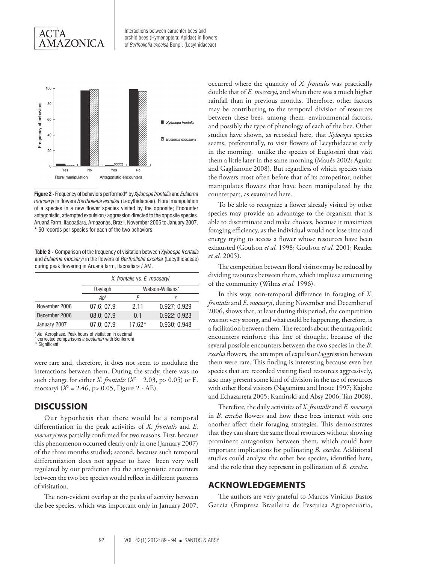



**Figure 2 -** Frequency of behaviors performed\* by *Xylocopa frontalis* and *Eulaema mocsaryi* in flowers *Bertholletia excelsa* (Lecythidaceae). Floral manipulation of a species in a new flower species visited by the opposite; Encounter antagonistic, attempted expulsion / aggression directed to the opposite species. Aruanã Farm, Itacoatiara, Amazonas, Brazil. November 2006 to January 2007. \* 60 records per species for each of the two behaviors.

**Table 3 -** Comparison of the frequency of visitation between *Xylocopa frontalis* and *Eulaema mocsaryi* in the flowers of *Bertholletia excelsa* (Lecythidaceae) during peak flowering in Aruanã farm, Itacoatiara / AM.

|               | X. frontalis vs. E. mocsaryi |                              |              |  |  |
|---------------|------------------------------|------------------------------|--------------|--|--|
|               | Raylegh                      | Watson-Willians <sup>b</sup> |              |  |  |
|               | $Ap^a$                       |                              |              |  |  |
| November 2006 | 07.6: 07.9                   | 2.11                         | 0.927; 0.929 |  |  |
| December 2006 | 08.0; 07.9                   | 0 <sub>1</sub>               | 0.922; 0.923 |  |  |
| January 2007  | 07.0; 07.9                   | $17.62*$                     | 0.930; 0.948 |  |  |

<sup>a</sup> Ap: Acrophase. Peak hours of visitation in decimal **b** corrected comparisons a posteriori with Bonferroni

\* Significant

were rare and, therefore, it does not seem to modulate the interactions between them. During the study, there was no such change for either *X. frontalis* ( $X^2 = 2.03$ , p> 0.05) or E. mocsaryi (*X*<sup>2</sup> = 2.46, p> 0.05, Figure 2 - AE).

#### **DISCUSSION**

Our hypothesis that there would be a temporal differentiation in the peak activities of *X. frontalis* and *E. mocsaryi* was partially confirmed for two reasons. First, because this phenomenon occurred clearly only in one (January 2007) of the three months studied; second, because such temporal differentiation does not appear to have been very well regulated by our prediction tha the antagonistic encounters between the two bee species would reflect in different patterns of visitation.

The non-evident overlap at the peaks of activity between the bee species, which was important only in January 2007, occurred where the quantity of *X. frontalis* was practically double that of *E. mocsaryi*, and when there was a much higher rainfall than in previous months. Therefore, other factors may be contributing to the temporal division of resources between these bees, among them, environmental factors, and possibly the type of phenology of each of the bee. Other studies have shown, as recorded here, that *Xylocopa* species seems, preferentially, to visit flowers of Lecythidaceae early in the morning, unlike the species of Euglossini that visit them a little later in the same morning (Maués 2002; Aguiar and Gaglianone 2008). But regardless of which species visits the flowers most often before that of its competitor, neither manipulates flowers that have been manipulated by the counterpart, as examined here.

To be able to recognize a flower already visited by other species may provide an advantage to the organism that is able to discriminate and make choices, because it maximizes foraging efficiency, as the individual would not lose time and energy trying to access a flower whose resources have been exhausted (Goulson *et al.* 1998; Goulson *et al.* 2001; Reader *et al.* 2005).

The competition between floral visitors may be reduced by dividing resources between them, which implies a structuring of the community (Wilms *et al.* 1996).

In this way, non-temporal difference in foraging of *X. frontalis* and *E. mocsaryi*, during November and December of 2006, shows that, at least during this period, the competition was not very strong, and what could be happening, therefore, is a facilitation between them. The records about the antagonistic encounters reinforce this line of thought, because of the several possible encounters between the two species in the *B. excelsa* flowers, the attempts of expulsion/aggression between them were rare. This finding is interesting because even bee species that are recorded visiting food resources aggressively, also may present some kind of division in the use of resources with other floral visitors (Nagamitsu and Inoue 1997; Kajobe and Echazarreta 2005; Kaminski and Absy 2006; Tan 2008).

Therefore, the daily activities of *X. frontalis* and *E. mocsaryi* in *B. excelsa* flowers and how these bees interact with one another affect their foraging strategies. This demonstrates that they can share the same floral resources without showing prominent antagonism between them, which could have important implications for pollinating *B. excelsa.* Additional studies could analyze the other bee species, identified here, and the role that they represent in pollination of *B. excelsa*.

#### **ACKNOWLEDGEMENTS**

The authors are very grateful to Marcos Vinicius Bastos Garcia (Empresa Brasileira de Pesquisa Agropecuária,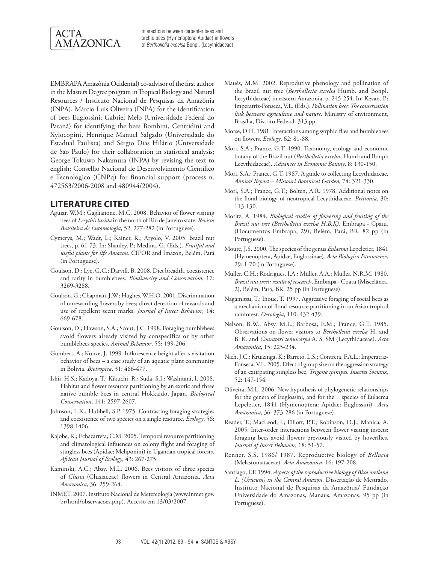

EMBRAPA Amazônia Ocidental) co-advisor of the first author in the Masters Degree program in Tropical Biology and Natural Resources / Instituto Nacional de Pesquisas da Amazônia (INPA), Márcio Luis Oliveira (INPA) for the identification of bees Euglossini; Gabriel Melo (Universidade Federal do Paraná) for identifying the bees Bombini, Centridini and Xylocopini, Henrique Manuel Salgado (Universidade do Estadual Paulista) and Sérgio Dias Hilário (Universidade de São Paulo) for their collaboration in statistical analysis; George Tokuwo Nakamura (INPA) by revising the text to english; Conselho Nacional de Desenvolvimento Científico e Tecnológico (CNPq) for financial support (process n. 472563/2006-2008 and 480944/2004).

### **LITERATURE CITED**

- Aguiar, W.M.; Gaglianone, M.C. 2008. Behavior of flower visiting bees of *Lecythis lurida* in the north of Rio de Janeiro state. *Revista Brasileira de Entomologia*, 52: 277-282 (in Portuguese).
- Cymerys, M.; Wadt, L.; Kainer, K.; Aryolo, V. 2005. Brazil nut trees, p. 61-73. In: Shanley, P.; Medina, G. (Eds.). *Fruitful and useful plants for life Amazon.* CIFOR and Imazon, Belém, Pará (in Portuguese).
- Goulson, D.; Lye, G.C.; Darvill, B. 2008. Diet breadth, coexistence and rarity in bumblebees. *Biodiversity and Conservation*, 17: 3269-3288.
- Goulson, G.; Chapman, J.W.; Hughes, W.H.O. 2001. Discrimination of unrewarding flowers by bees; direct detection of rewards and use of repellent scent marks. *Journal of Insect Behavior*, 14: 669-678.
- Goulson, D.; Hawson, S.A.; Scout, J.C. 1998. Foraging bumblebees avoid flowers already visited by conspecifics or by other bumblebees species. *Animal Behavior*, 55: 199-206.
- Gumbert, A.; Kunze, J. 1999. Inflorescence height affects visitation behavior of bees – a case study of an aquatic plant community in Bolivia. *Biotropica*, 31: 466-477.
- Ishii, H.S.; Kadoya, T.; Kikuchi, R.; Suda, S.I.; Washitani, I. 2008. Habitat and flower resource partitioning by an exotic and three native bumble bees in central Hokkaido, Japan. *Biological Conservation*, 141: 2597-2607.
- Johnson, L.K.; Hubbell, S.P. 1975. Contrasting foraging strategies and coexistence of two species on a single resource. *Ecology*, 56: 1398-1406.
- Kajobe, R.; Echazarreta, C.M. 2005. Temporal resource partitioning and climatological influences on colony flight and foraging of stingless bees (Apidae; Meliponini) in Ugandan tropical forests. *African Journal of Ecology*, 43: 267-275.
- Kaminski, A.C.; Absy, M.L. 2006. Bees visitors of three species of *Clusia* (Clusiaceae) flowers in Central Amazonia. *Acta Amazonica*, 36: 259-264.
- INMET, 2007. Instituto Nacional de Metereologia (www.inmet.gov. br/html/observacoes.php). Accesso em 13/03/2007.
- Maués, M.M. 2002. Reprodutive phenology and pollination of the Brazil nut tree (*Bertholletia excelsa* Humb. and Bonpl. Lecythidaceae) in eastern Amazonia, p. 245-254. In: Kevan, P.; Imperatriz-Fonseca, V.L. (Eds.). *Pollination bees: The conservation link between agriculture and nature*. Ministry of environment, Brasília, Distrito Federal. 313 pp.
- Morse, D.H. 1981. Interactions among syrphid flies and bumblebees on flowers. *Ecology*, 62: 81-88.
- Mori, S.A.; Prance, G.T. 1990. Taxonomy, ecology and economic botany of the Brazil nut (*Bertholletia excelsa*, Humb and Bonpl: Lecythidaceae). *Advances in Economic Botany*, 8: 130-150.
- Mori, S.A.; Prance, G.T. 1987. A guide to collecting Lecythidaceae. *Annual Report – Missouri Botanical Garden*, 74: 321-330.
- Mori, S.A.; Prance, G.T.; Bolten, A.R. 1978. Additional notes on the floral biology of neotropical Lecythidaceae. *Brittonia*, 30: 113-130.
- Moritz, A. 1984. *Biological studies of flowering and fruiting of the Brazil nut tree (Bertholletia excelsa H.B.K)*, Embrapa - Cpatu, (Documentos Embrapa, 29), Belém, Pará, BR. 82 pp (in Portuguese).
- Moure, J.S. 2000. The species of the genus *Eulaema* Lepeletier, 1841 (Hymenoptera, Apidae, Euglossinae). *Acta Biologica Paranaense*, 29: 1-70 (in Portuguese).
- Müller, C.H.; Rodrigues, I.A.; Müller, A.A.; Müller, N.R.M. 1980. *Brazil nut trees: results of research*, Embrapa - Cpatu (Miscelânea, 2), Belém, Pará, BR. 25 pp (in Portuguese).
- Nagamitsu, T.; Inoue, T. 1997. Aggressive foraging of social bees as a mechanism of floral resource partitioning in an Asian tropical rainforest. *Oecologia*, 110: 432-439.
- Nelson, B.W.; Absy. M.L.; Barbosa, E.M.; Prance, G.T. 1985. Observations on flower visitors to *Bertholletia excelsa* H. and B. K. and *Couratari tenuicarpa* A. S. SM (Lecythidaceae). *Acta Amazonica*, 15: 225-234.
- Nieh, J.C.; Kruizinga, K.; Barreto, L.S.; Contrera, F.A.L.; Imperatriz-Fonseca, V.L. 2005. Effect of group size on the aggression strategy of an extirpating stingless bee, *Trigona spinipes*. *Insectes Sociaux*, 52: 147-154.
- Oliveira, M.L. 2006. New hypothesis of phylogenetic relationships for the genera of Euglossini, and for the species of Eulaema Lepeletier, 1841 (Hymenoptera: Apidae: Euglossini) *Acta Amazonica*, 36: 373-286 (in Portuguese).
- Reader, T.; MacLeod, I.; Elliott, P.T.; Robinson, O.J.; Manica, A. 2005. Inter-order interactions between flower visiting insects: foraging bees avoid flowers previously visited by hoverflies. *Journal of Insect Behavior*, 18: 51-57.
- Renner, S.S. 1986/ 1987. Reproductive biology of *Bellucia* (Melastomataceae). *Acta Amazonica*, 16: 197-208.
- Santiago, F.F. 1994. *Aspects of the reproductive biology of Bixa orellana L. (Urucum) in the Central Amazon*. Dissertação de Mestrado, Instituto Nacional de Pesquisas da Amazônia/ Fundação Universidade do Amazonas, Manaus, Amazonas. 95 pp (in Portuguese).